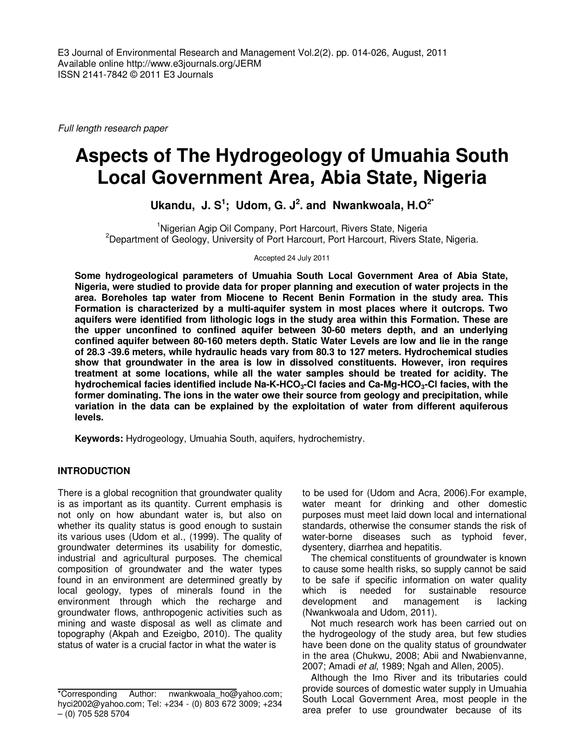Full length research paper

# **Aspects of The Hydrogeology of Umuahia South Local Government Area, Abia State, Nigeria**

**Ukandu, J. S<sup>1</sup> ; Udom, G. J<sup>2</sup> . and Nwankwoala, H.O2\***

<sup>1</sup>Nigerian Agip Oil Company, Port Harcourt, Rivers State, Nigeria <sup>2</sup>Department of Geology, University of Port Harcourt, Port Harcourt, Rivers State, Nigeria.

Accepted 24 July 2011

**Some hydrogeological parameters of Umuahia South Local Government Area of Abia State, Nigeria, were studied to provide data for proper planning and execution of water projects in the area. Boreholes tap water from Miocene to Recent Benin Formation in the study area. This Formation is characterized by a multi-aquifer system in most places where it outcrops. Two aquifers were identified from lithologic logs in the study area within this Formation. These are the upper unconfined to confined aquifer between 30-60 meters depth, and an underlying confined aquifer between 80-160 meters depth. Static Water Levels are low and lie in the range of 28.3 -39.6 meters, while hydraulic heads vary from 80.3 to 127 meters. Hydrochemical studies show that groundwater in the area is low in dissolved constituents. However, iron requires treatment at some locations, while all the water samples should be treated for acidity. The hydrochemical facies identified include Na-K-HCO3-Cl facies and Ca-Mg-HCO3-Cl facies, with the former dominating. The ions in the water owe their source from geology and precipitation, while variation in the data can be explained by the exploitation of water from different aquiferous levels.** 

**Keywords:** Hydrogeology, Umuahia South, aquifers, hydrochemistry.

## **INTRODUCTION**

There is a global recognition that groundwater quality is as important as its quantity. Current emphasis is not only on how abundant water is, but also on whether its quality status is good enough to sustain its various uses (Udom et al., (1999). The quality of groundwater determines its usability for domestic, industrial and agricultural purposes. The chemical composition of groundwater and the water types found in an environment are determined greatly by local geology, types of minerals found in the environment through which the recharge and groundwater flows, anthropogenic activities such as mining and waste disposal as well as climate and topography (Akpah and Ezeigbo, 2010). The quality status of water is a crucial factor in what the water is

to be used for (Udom and Acra, 2006).For example, water meant for drinking and other domestic purposes must meet laid down local and international standards, otherwise the consumer stands the risk of water-borne diseases such as typhoid fever, dysentery, diarrhea and hepatitis.

The chemical constituents of groundwater is known to cause some health risks, so supply cannot be said to be safe if specific information on water quality which is needed for sustainable resource development and management is lacking (Nwankwoala and Udom, 2011).

Not much research work has been carried out on the hydrogeology of the study area, but few studies have been done on the quality status of groundwater in the area (Chukwu, 2008; Abii and Nwabienvanne, 2007; Amadi et al, 1989; Ngah and Allen, 2005).

Although the Imo River and its tributaries could provide sources of domestic water supply in Umuahia South Local Government Area, most people in the area prefer to use groundwater because of its

<sup>\*</sup>Corresponding Author: nwankwoala\_ho@yahoo.com; hyci2002@yahoo.com; Tel: +234 - (0) 803 672 3009; +234 – (0) 705 528 5704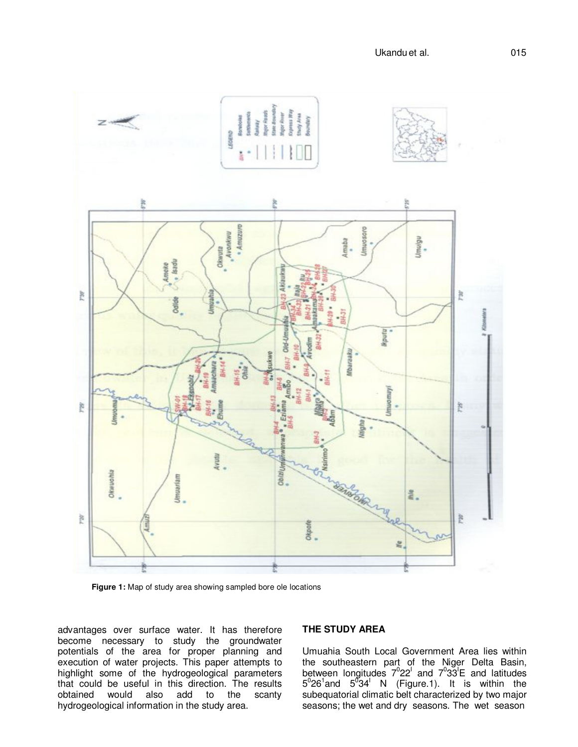

**Figure 1:** Map of study area showing sampled bore ole locations

advantages over surface water. It has therefore become necessary to study the groundwater potentials of the area for proper planning and execution of water projects. This paper attempts to highlight some of the hydrogeological parameters that could be useful in this direction. The results<br>obtained would also add to the scanty obtained would also add to the scanty hydrogeological information in the study area.

# **THE STUDY AREA**

Umuahia South Local Government Area lies within the southeastern part of the Niger Delta Basin, between longitudes  $7^022^1$  and  $7^033^1E$  and latitudes  $5^0$ 26<sup>1</sup> and  $5^0$ 34<sup>1</sup> N (Figure.1). It is within the subequatorial climatic belt characterized by two major seasons; the wet and dry seasons. The wet season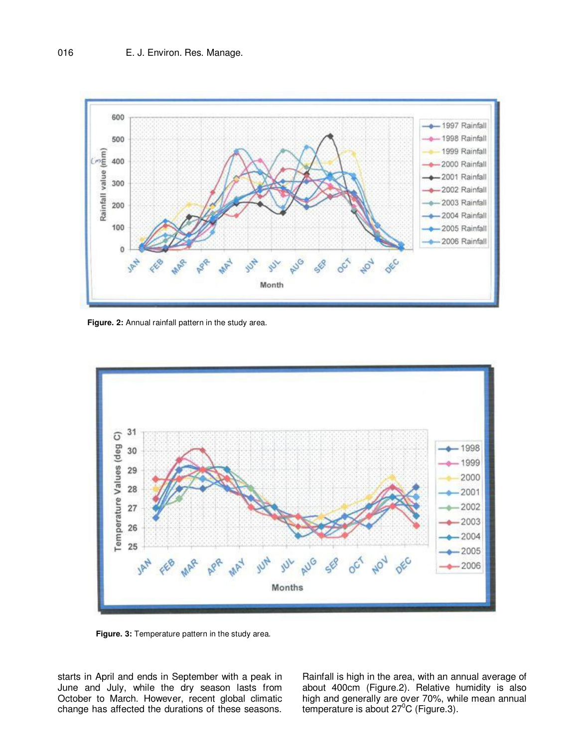

**Figure. 2:** Annual rainfall pattern in the study area.



**Figure. 3:** Temperature pattern in the study area.

starts in April and ends in September with a peak in June and July, while the dry season lasts from October to March. However, recent global climatic change has affected the durations of these seasons. Rainfall is high in the area, with an annual average of about 400cm (Figure.2). Relative humidity is also high and generally are over 70%, while mean annual temperature is about  $27^{\circ}$ C (Figure.3).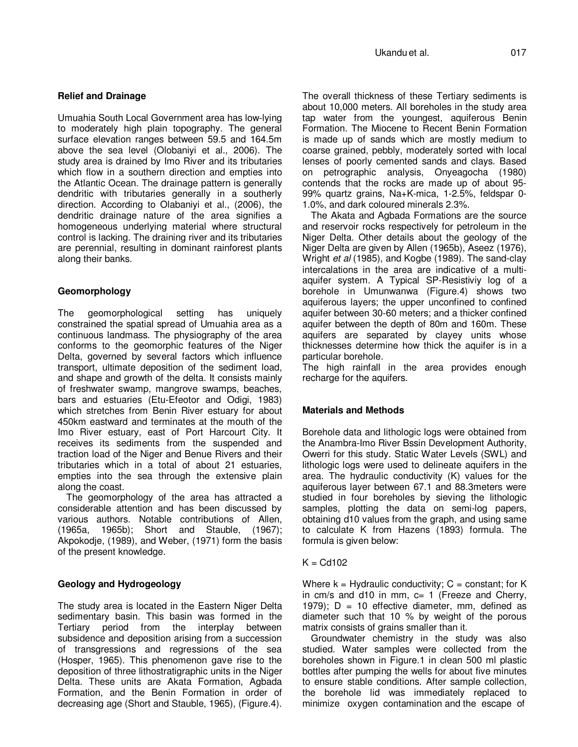## **Relief and Drainage**

Umuahia South Local Government area has low-lying to moderately high plain topography. The general surface elevation ranges between 59.5 and 164.5m above the sea level (Olobaniyi et al., 2006). The study area is drained by Imo River and its tributaries which flow in a southern direction and empties into the Atlantic Ocean. The drainage pattern is generally dendritic with tributaries generally in a southerly direction. According to Olabaniyi et al., (2006), the dendritic drainage nature of the area signifies a homogeneous underlying material where structural control is lacking. The draining river and its tributaries are perennial, resulting in dominant rainforest plants along their banks.

## **Geomorphology**

The geomorphological setting has uniquely constrained the spatial spread of Umuahia area as a continuous landmass. The physiography of the area conforms to the geomorphic features of the Niger Delta, governed by several factors which influence transport, ultimate deposition of the sediment load, and shape and growth of the delta. It consists mainly of freshwater swamp, mangrove swamps, beaches, bars and estuaries (Etu-Efeotor and Odigi, 1983) which stretches from Benin River estuary for about 450km eastward and terminates at the mouth of the Imo River estuary, east of Port Harcourt City. It receives its sediments from the suspended and traction load of the Niger and Benue Rivers and their tributaries which in a total of about 21 estuaries, empties into the sea through the extensive plain along the coast.

The geomorphology of the area has attracted a considerable attention and has been discussed by various authors. Notable contributions of Allen, (1965a, 1965b); Short and Stauble, (1967); Akpokodje, (1989), and Weber, (1971) form the basis of the present knowledge.

## **Geology and Hydrogeology**

The study area is located in the Eastern Niger Delta sedimentary basin. This basin was formed in the Tertiary period from the interplay between subsidence and deposition arising from a succession of transgressions and regressions of the sea (Hosper, 1965). This phenomenon gave rise to the deposition of three lithostratigraphic units in the Niger Delta. These units are Akata Formation, Agbada Formation, and the Benin Formation in order of decreasing age (Short and Stauble, 1965), (Figure.4).

The overall thickness of these Tertiary sediments is about 10,000 meters. All boreholes in the study area tap water from the youngest, aquiferous Benin Formation. The Miocene to Recent Benin Formation is made up of sands which are mostly medium to coarse grained, pebbly, moderately sorted with local lenses of poorly cemented sands and clays. Based on petrographic analysis, Onyeagocha (1980) contends that the rocks are made up of about 95- 99% quartz grains, Na+K-mica, 1-2.5%, feldspar 0- 1.0%, and dark coloured minerals 2.3%.

The Akata and Agbada Formations are the source and reservoir rocks respectively for petroleum in the Niger Delta. Other details about the geology of the Niger Delta are given by Allen (1965b), Aseez (1976), Wright et al (1985), and Kogbe (1989). The sand-clay intercalations in the area are indicative of a multiaquifer system. A Typical SP-Resistiviy log of a borehole in Umunwanwa (Figure.4) shows two aquiferous layers; the upper unconfined to confined aquifer between 30-60 meters; and a thicker confined aquifer between the depth of 80m and 160m. These aquifers are separated by clayey units whose thicknesses determine how thick the aquifer is in a particular borehole.

The high rainfall in the area provides enough recharge for the aquifers.

# **Materials and Methods**

Borehole data and lithologic logs were obtained from the Anambra-Imo River Bssin Development Authority, Owerri for this study. Static Water Levels (SWL) and lithologic logs were used to delineate aquifers in the area. The hydraulic conductivity (K) values for the aquiferous layer between 67.1 and 88.3meters were studied in four boreholes by sieving the lithologic samples, plotting the data on semi-log papers, obtaining d10 values from the graph, and using same to calculate K from Hazens (1893) formula. The formula is given below:

## $K = Cd102$

Where  $k = Hy$ draulic conductivity;  $C = constant$ ; for K in  $cm/s$  and d10 in mm,  $c= 1$  (Freeze and Cherry, 1979);  $D = 10$  effective diameter, mm, defined as diameter such that 10 % by weight of the porous matrix consists of grains smaller than it.

Groundwater chemistry in the study was also studied. Water samples were collected from the boreholes shown in Figure.1 in clean 500 ml plastic bottles after pumping the wells for about five minutes to ensure stable conditions. After sample collection, the borehole lid was immediately replaced to minimize oxygen contamination and the escape of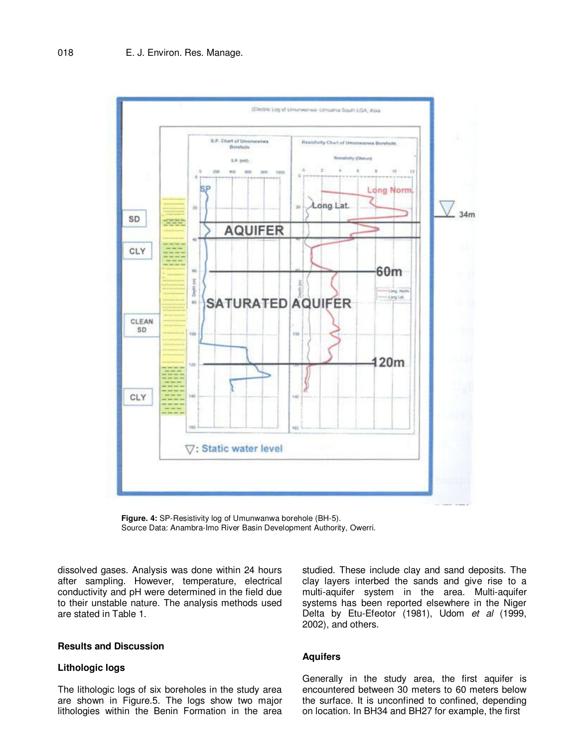

**Figure. 4:** SP-Resistivity log of Umunwanwa borehole (BH-5). Source Data: Anambra-Imo River Basin Development Authority, Owerri.

dissolved gases. Analysis was done within 24 hours after sampling. However, temperature, electrical conductivity and pH were determined in the field due to their unstable nature. The analysis methods used are stated in Table 1.

## **Results and Discussion**

## **Lithologic logs**

The lithologic logs of six boreholes in the study area are shown in Figure.5. The logs show two major lithologies within the Benin Formation in the area

studied. These include clay and sand deposits. The clay layers interbed the sands and give rise to a multi-aquifer system in the area. Multi-aquifer systems has been reported elsewhere in the Niger Delta by Etu-Efeotor (1981), Udom et al (1999, 2002), and others.

#### **Aquifers**

Generally in the study area, the first aquifer is encountered between 30 meters to 60 meters below the surface. It is unconfined to confined, depending on location. In BH34 and BH27 for example, the first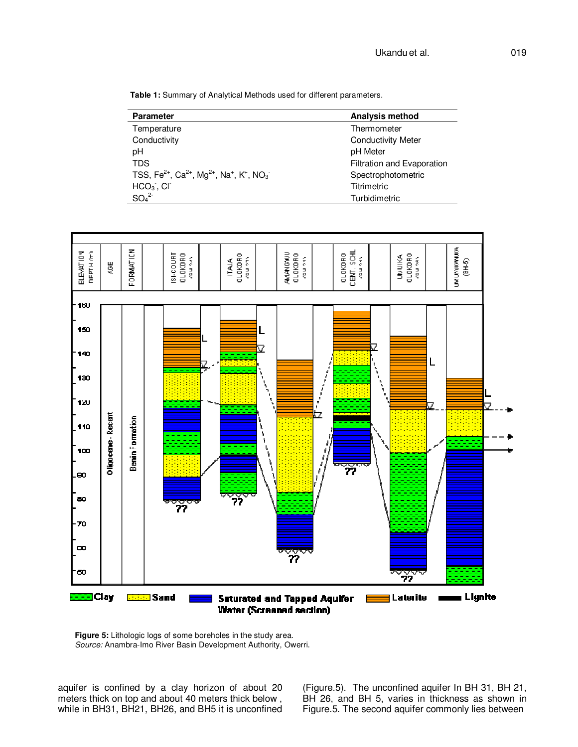**Table 1:** Summary of Analytical Methods used for different parameters.

| <b>Parameter</b>                                                                                                 | <b>Analysis method</b>     |
|------------------------------------------------------------------------------------------------------------------|----------------------------|
| Temperature                                                                                                      | Thermometer                |
| Conductivity                                                                                                     | <b>Conductivity Meter</b>  |
| pH                                                                                                               | pH Meter                   |
| <b>TDS</b>                                                                                                       | Filtration and Evaporation |
| TSS, Fe <sup>2+</sup> , Ca <sup>2+</sup> , Mg <sup>2+</sup> , Na <sup>+</sup> , K <sup>+</sup> , NO <sub>3</sub> | Spectrophotometric         |
| $HCO3$ , CI                                                                                                      | Titrimetric                |
| SO <sub>4</sub> <sup>2</sup>                                                                                     | Turbidimetric              |



**Figure 5:** Lithologic logs of some boreholes in the study area. Source: Anambra-Imo River Basin Development Authority, Owerri.

aquifer is confined by a clay horizon of about 20 meters thick on top and about 40 meters thick below , while in BH31, BH21, BH26, and BH5 it is unconfined

(Figure.5). The unconfined aquifer In BH 31, BH 21, BH 26, and BH 5, varies in thickness as shown in Figure.5. The second aquifer commonly lies between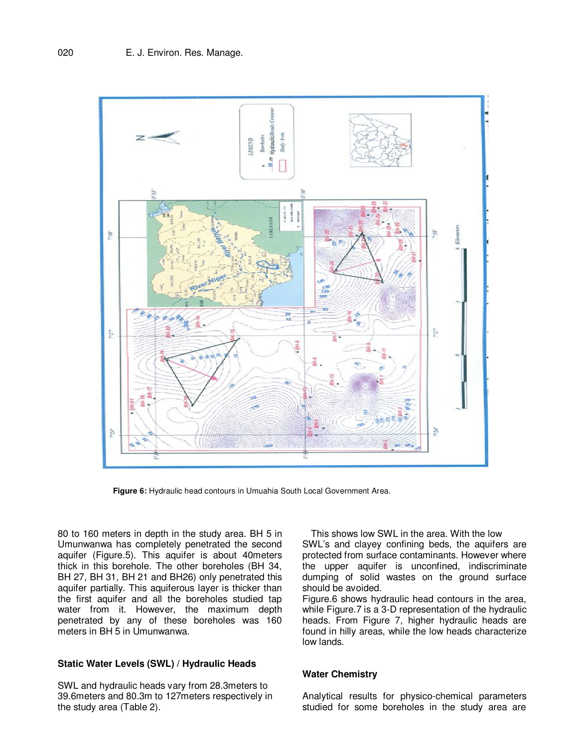

**Figure 6:** Hydraulic head contours in Umuahia South Local Government Area.

80 to 160 meters in depth in the study area. BH 5 in Umunwanwa has completely penetrated the second aquifer (Figure.5). This aquifer is about 40meters thick in this borehole. The other boreholes (BH 34, BH 27, BH 31, BH 21 and BH26) only penetrated this aquifer partially. This aquiferous layer is thicker than the first aquifer and all the boreholes studied tap water from it. However, the maximum depth penetrated by any of these boreholes was 160 meters in BH 5 in Umunwanwa.

## **Static Water Levels (SWL) / Hydraulic Heads**

SWL and hydraulic heads vary from 28.3meters to 39.6meters and 80.3m to 127meters respectively in the study area (Table 2).

This shows low SWL in the area. With the low SWL's and clayey confining beds, the aquifers are protected from surface contaminants. However where the upper aquifer is unconfined, indiscriminate dumping of solid wastes on the ground surface should be avoided.

Figure.6 shows hydraulic head contours in the area, while Figure.7 is a 3-D representation of the hydraulic heads. From Figure 7, higher hydraulic heads are found in hilly areas, while the low heads characterize low lands.

## **Water Chemistry**

Analytical results for physico-chemical parameters studied for some boreholes in the study area are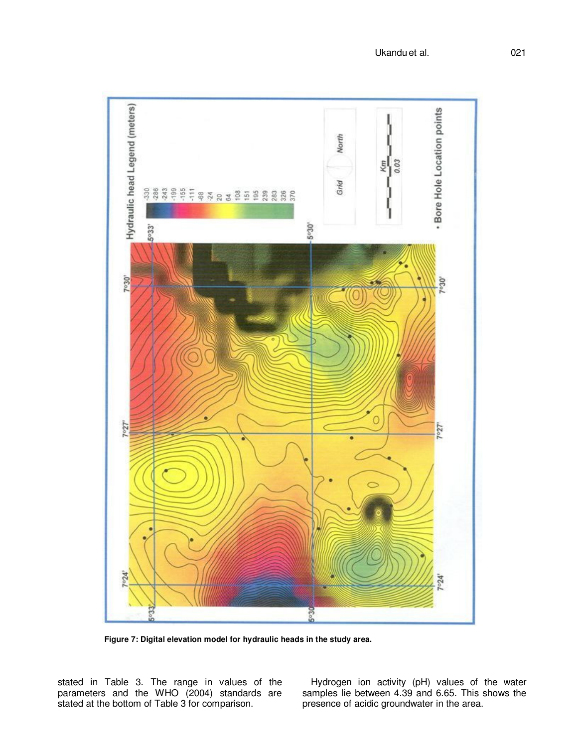

**Figure 7: Digital elevation model for hydraulic heads in the study area.** 

stated in Table 3. The range in values of the parameters and the WHO (2004) standards are stated at the bottom of Table 3 for comparison.

Hydrogen ion activity (pH) values of the water samples lie between 4.39 and 6.65. This shows the presence of acidic groundwater in the area.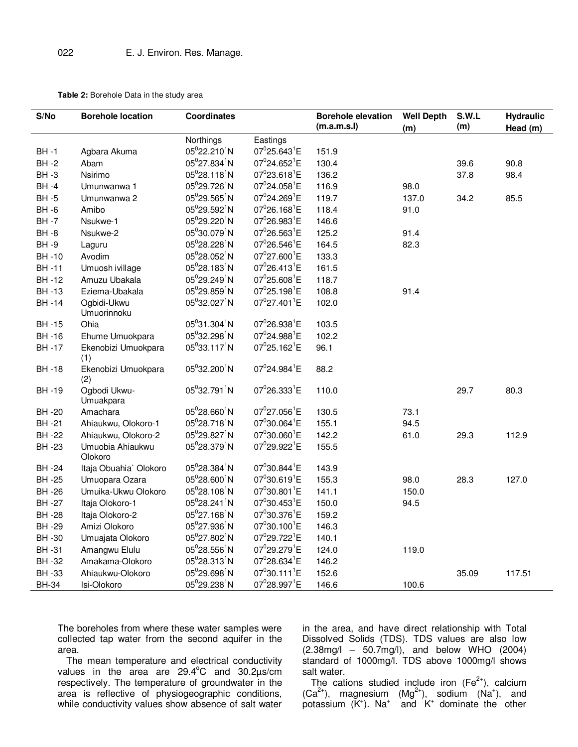**Table 2:** Borehole Data in the study area

| S/No                   | <b>Borehole location</b>    | <b>Coordinates</b>                    |                                                   | <b>Borehole elevation</b><br>(m.a.m.s.l) | <b>Well Depth</b> | S.W.L<br>(m) | <b>Hydraulic</b> |  |
|------------------------|-----------------------------|---------------------------------------|---------------------------------------------------|------------------------------------------|-------------------|--------------|------------------|--|
|                        |                             |                                       |                                                   |                                          | (m)               |              | Head (m)         |  |
| <b>BH-1</b>            |                             | Northings<br>05°22.210 <sup>1</sup> N | Eastings<br>07 <sup>0</sup> 25.643 <sup>1</sup> E | 151.9                                    |                   |              |                  |  |
| $BH -2$                | Agbara Akuma<br>Abam        | $05^0$ 27.834 <sup>1</sup> N          | $07^0$ 24.652 <sup>1</sup> E                      | 130.4                                    |                   | 39.6         | 90.8             |  |
| <b>BH-3</b>            |                             | $05^028.118^1N$                       | $07^{0}$ 23.618 <sup>1</sup> E                    | 136.2                                    |                   | 37.8         | 98.4             |  |
| $BH -4$                | Nsirimo<br>Umunwanwa 1      | 05 <sup>0</sup> 29.726 <sup>1</sup> N | $07^{0}$ 24.058 <sup>1</sup> E                    | 116.9                                    | 98.0              |              |                  |  |
| <b>BH-5</b>            |                             | $05^{0}$ 29.565 <sup>1</sup> N        | $07^{0}$ 24.269 <sup>1</sup> E                    | 119.7                                    |                   |              | 85.5             |  |
|                        | Umunwanwa 2<br>Amibo        | 05°29.592 <sup>1</sup> N              | $07^{0}26.168^{1}E$                               |                                          | 137.0             | 34.2         |                  |  |
| $BH -6$<br><b>BH-7</b> |                             | 05 <sup>0</sup> 29.220 <sup>1</sup> N | $07^026.983^1E$                                   | 118.4<br>146.6                           | 91.0              |              |                  |  |
|                        | Nsukwe-1                    | 05°30.079 <sup>1</sup> N              | $07^{0}26.563^{1}E$                               |                                          |                   |              |                  |  |
| $BH -8$                | Nsukwe-2                    | $05^{0}28.228^{1}N$                   | $07^{0}26.546^{1}E$                               | 125.2                                    | 91.4              |              |                  |  |
| <b>BH-9</b>            | Laguru                      | $05^{0}28.052^{1}N$                   | $07^{0}$ 27.600 <sup>1</sup> E                    | 164.5                                    | 82.3              |              |                  |  |
| <b>BH-10</b>           | Avodim                      |                                       | $07^{0}26.413^{1}E$                               | 133.3                                    |                   |              |                  |  |
| <b>BH-11</b>           | Umuosh ivillage             | $05^028.183^1N$                       |                                                   | 161.5                                    |                   |              |                  |  |
| <b>BH-12</b>           | Amuzu Ubakala               | 05 <sup>0</sup> 29.249 <sup>1</sup> N | $07^025.608^1E$                                   | 118.7                                    |                   |              |                  |  |
| <b>BH-13</b>           | Eziema-Ubakala              | $05^{0}$ 29.859 <sup>1</sup> N        | $07^0$ 25.198 <sup>1</sup> E                      | 108.8                                    | 91.4              |              |                  |  |
| <b>BH-14</b>           | Ogbidi-Ukwu<br>Umuorinnoku  | 05°32.027 <sup>1</sup> N              | $07^{0}$ 27.401 <sup>1</sup> E                    | 102.0                                    |                   |              |                  |  |
| <b>BH-15</b>           | Ohia                        | $05^031.304^1N$                       | $07^{0}26.938^{1}E$                               | 103.5                                    |                   |              |                  |  |
| <b>BH-16</b>           | Ehume Umuokpara             | $05^0$ 32.298 <sup>1</sup> N          | $07^{0}$ 24.988 <sup>1</sup> E                    | 102.2                                    |                   |              |                  |  |
| <b>BH-17</b>           | Ekenobizi Umuokpara<br>(1)  | $05^{0}33.117^{1}N$                   | $07^{0}$ 25.162 <sup>1</sup> E                    | 96.1                                     |                   |              |                  |  |
| <b>BH-18</b>           | Ekenobizi Umuokpara<br>(2)  | $05^0$ 32.200 <sup>1</sup> N          | 07 <sup>0</sup> 24.984 <sup>1</sup> E             | 88.2                                     |                   |              |                  |  |
| <b>BH-19</b>           | Ogbodi Ukwu-<br>Umuakpara   | 05°32.791 <sup>1</sup> N              | $07^{0}26.333^{1}E$                               | 110.0                                    |                   | 29.7         | 80.3             |  |
| <b>BH-20</b>           | Amachara                    | $05^028.660^1N$                       | $07^{0}$ 27.056 <sup>1</sup> E                    | 130.5                                    | 73.1              |              |                  |  |
| <b>BH-21</b>           | Ahiaukwu, Olokoro-1         | 05 <sup>0</sup> 28.718 <sup>1</sup> N | 07 <sup>0</sup> 30.064 <sup>1</sup> E             | 155.1                                    | 94.5              |              |                  |  |
| <b>BH-22</b>           | Ahiaukwu, Olokoro-2         | 05 <sup>0</sup> 29.827 <sup>1</sup> N | 07°30.060 <sup>1</sup> E                          | 142.2                                    | 61.0              | 29.3         | 112.9            |  |
| <b>BH-23</b>           | Umuobia Ahiaukwu<br>Olokoro | 05 <sup>0</sup> 28.379 <sup>1</sup> N | $07^{0}$ 29.922 <sup>1</sup> E                    | 155.5                                    |                   |              |                  |  |
| <b>BH-24</b>           | Itaja Obuahia` Olokoro      | 05 <sup>0</sup> 28.384 <sup>1</sup> N | 07 <sup>0</sup> 30.844 <sup>1</sup> E             | 143.9                                    |                   |              |                  |  |
| <b>BH-25</b>           | Umuopara Ozara              | $05^028.600^1N$                       | $07^030.619^1E$                                   | 155.3                                    | 98.0              | 28.3         | 127.0            |  |
| <b>BH-26</b>           | Umuika-Ukwu Olokoro         | $05^{0}28.108^{1}N$                   | $07^0$ 30.801 <sup>1</sup> E                      | 141.1                                    | 150.0             |              |                  |  |
| <b>BH-27</b>           | Itaja Olokoro-1             | 05 <sup>0</sup> 28.241 <sup>1</sup> N | $07^0$ 30.453 <sup>1</sup> E                      | 150.0                                    | 94.5              |              |                  |  |
| <b>BH-28</b>           | Itaja Olokoro-2             | $05^{0}$ 27.168 <sup>1</sup> N        | 07°30.376 <sup>1</sup> E                          | 159.2                                    |                   |              |                  |  |
| <b>BH-29</b>           | Amizi Olokoro               | $05^{0}$ 27.936 <sup>1</sup> N        | $07^0$ 30.100 <sup>1</sup> E                      | 146.3                                    |                   |              |                  |  |
| BH -30                 | Umuajata Olokoro            | $05^0$ 27.802 <sup>1</sup> N          | 07 <sup>0</sup> 29.722 <sup>1</sup> E             | 140.1                                    |                   |              |                  |  |
| <b>BH-31</b>           | Amangwu Elulu               | $05^{0}$ 28.556 <sup>1</sup> N        | $07^{0}$ 29.279 <sup>1</sup> E                    | 124.0                                    | 119.0             |              |                  |  |
| <b>BH-32</b>           | Amakama-Olokoro             | 05 <sup>0</sup> 28.313 <sup>1</sup> N | $07^{0}$ 28.634 <sup>1</sup> E                    | 146.2                                    |                   |              |                  |  |
| <b>BH-33</b>           | Ahiaukwu-Olokoro            | $05^{0}$ 29.698 <sup>1</sup> N        | $07^0$ 30.111 <sup>1</sup> E                      | 152.6                                    |                   | 35.09        | 117.51           |  |
| <b>BH-34</b>           | Isi-Olokoro                 | 05°29.238 <sup>1</sup> N              | $07^028.997^1E$                                   | 146.6                                    | 100.6             |              |                  |  |

The boreholes from where these water samples were collected tap water from the second aquifer in the area.

The mean temperature and electrical conductivity values in the area are  $29.4^{\circ}$ C and  $30.2 \mu s$ /cm respectively. The temperature of groundwater in the area is reflective of physiogeographic conditions, while conductivity values show absence of salt water

in the area, and have direct relationship with Total Dissolved Solids (TDS). TDS values are also low (2.38mg/l – 50.7mg/l), and below WHO (2004) standard of 1000mg/l. TDS above 1000mg/l shows salt water.

The cations studied include iron  $(Fe^{2+})$ , calcium  $(Ca^{2+})$ , magnesium  $(Mg^{2+})$ , sodium  $(Na^+)$ , and potassium  $(K^+)$ . Na<sup>+</sup> and  $K^+$  dominate the other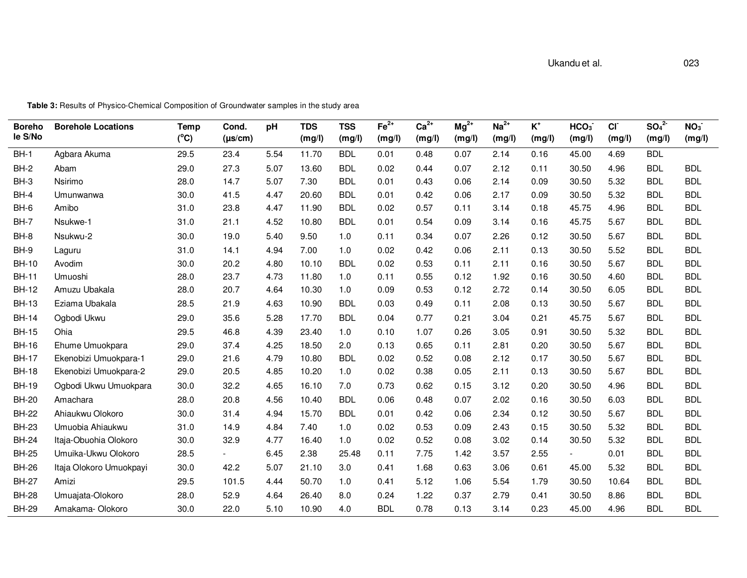| <b>Boreho</b><br>le S/No | <b>Borehole Locations</b> | <b>Temp</b><br>$(^{\circ}C)$ | Cond.<br>$(\mu s/cm)$ | pH   | <b>TDS</b><br>(mg/l) | <b>TSS</b><br>(mg/l) | $Fe2+$<br>(mg/l) | $Ca2+$<br>(mg/l) | $Mg^{2+}$<br>(mg/l) | $Na2+$<br>(mg/l) | $\mathsf{K}^{\scriptscriptstyle{+}}$<br>(mg/l) | HCO <sub>3</sub><br>(mg/l) | CI<br>(mg/l) | SO <sub>4</sub> <sup>2</sup><br>(mg/l) | NO <sub>3</sub><br>(mg/l) |
|--------------------------|---------------------------|------------------------------|-----------------------|------|----------------------|----------------------|------------------|------------------|---------------------|------------------|------------------------------------------------|----------------------------|--------------|----------------------------------------|---------------------------|
| $BH-1$                   | Agbara Akuma              | 29.5                         | 23.4                  | 5.54 | 11.70                | <b>BDL</b>           | 0.01             | 0.48             | 0.07                | 2.14             | 0.16                                           | 45.00                      | 4.69         | <b>BDL</b>                             |                           |
| $BH-2$                   | Abam                      | 29.0                         | 27.3                  | 5.07 | 13.60                | <b>BDL</b>           | 0.02             | 0.44             | 0.07                | 2.12             | 0.11                                           | 30.50                      | 4.96         | <b>BDL</b>                             | <b>BDL</b>                |
| $BH-3$                   | Nsirimo                   | 28.0                         | 14.7                  | 5.07 | 7.30                 | <b>BDL</b>           | 0.01             | 0.43             | 0.06                | 2.14             | 0.09                                           | 30.50                      | 5.32         | <b>BDL</b>                             | <b>BDL</b>                |
| $BH-4$                   | Umunwanwa                 | 30.0                         | 41.5                  | 4.47 | 20.60                | <b>BDL</b>           | 0.01             | 0.42             | 0.06                | 2.17             | 0.09                                           | 30.50                      | 5.32         | <b>BDL</b>                             | <b>BDL</b>                |
| $BH-6$                   | Amibo                     | 31.0                         | 23.8                  | 4.47 | 11.90                | <b>BDL</b>           | 0.02             | 0.57             | 0.11                | 3.14             | 0.18                                           | 45.75                      | 4.96         | <b>BDL</b>                             | <b>BDL</b>                |
| <b>BH-7</b>              | Nsukwe-1                  | 31.0                         | 21.1                  | 4.52 | 10.80                | <b>BDL</b>           | 0.01             | 0.54             | 0.09                | 3.14             | 0.16                                           | 45.75                      | 5.67         | <b>BDL</b>                             | <b>BDL</b>                |
| $BH-8$                   | Nsukwu-2                  | 30.0                         | 19.0                  | 5.40 | 9.50                 | 1.0                  | 0.11             | 0.34             | 0.07                | 2.26             | 0.12                                           | 30.50                      | 5.67         | <b>BDL</b>                             | <b>BDL</b>                |
| BH-9                     | Laguru                    | 31.0                         | 14.1                  | 4.94 | 7.00                 | 1.0                  | 0.02             | 0.42             | 0.06                | 2.11             | 0.13                                           | 30.50                      | 5.52         | <b>BDL</b>                             | <b>BDL</b>                |
| <b>BH-10</b>             | Avodim                    | 30.0                         | 20.2                  | 4.80 | 10.10                | <b>BDL</b>           | 0.02             | 0.53             | 0.11                | 2.11             | 0.16                                           | 30.50                      | 5.67         | <b>BDL</b>                             | <b>BDL</b>                |
| <b>BH-11</b>             | Umuoshi                   | 28.0                         | 23.7                  | 4.73 | 11.80                | 1.0                  | 0.11             | 0.55             | 0.12                | 1.92             | 0.16                                           | 30.50                      | 4.60         | <b>BDL</b>                             | <b>BDL</b>                |
| <b>BH-12</b>             | Amuzu Ubakala             | 28.0                         | 20.7                  | 4.64 | 10.30                | 1.0                  | 0.09             | 0.53             | 0.12                | 2.72             | 0.14                                           | 30.50                      | 6.05         | <b>BDL</b>                             | <b>BDL</b>                |
| <b>BH-13</b>             | Eziama Ubakala            | 28.5                         | 21.9                  | 4.63 | 10.90                | <b>BDL</b>           | 0.03             | 0.49             | 0.11                | 2.08             | 0.13                                           | 30.50                      | 5.67         | <b>BDL</b>                             | <b>BDL</b>                |
| <b>BH-14</b>             | Ogbodi Ukwu               | 29.0                         | 35.6                  | 5.28 | 17.70                | <b>BDL</b>           | 0.04             | 0.77             | 0.21                | 3.04             | 0.21                                           | 45.75                      | 5.67         | <b>BDL</b>                             | <b>BDL</b>                |
| <b>BH-15</b>             | Ohia                      | 29.5                         | 46.8                  | 4.39 | 23.40                | 1.0                  | 0.10             | 1.07             | 0.26                | 3.05             | 0.91                                           | 30.50                      | 5.32         | <b>BDL</b>                             | <b>BDL</b>                |
| <b>BH-16</b>             | Ehume Umuokpara           | 29.0                         | 37.4                  | 4.25 | 18.50                | 2.0                  | 0.13             | 0.65             | 0.11                | 2.81             | 0.20                                           | 30.50                      | 5.67         | <b>BDL</b>                             | <b>BDL</b>                |
| <b>BH-17</b>             | Ekenobizi Umuokpara-1     | 29.0                         | 21.6                  | 4.79 | 10.80                | <b>BDL</b>           | 0.02             | 0.52             | 0.08                | 2.12             | 0.17                                           | 30.50                      | 5.67         | <b>BDL</b>                             | <b>BDL</b>                |
| <b>BH-18</b>             | Ekenobizi Umuokpara-2     | 29.0                         | 20.5                  | 4.85 | 10.20                | 1.0                  | 0.02             | 0.38             | 0.05                | 2.11             | 0.13                                           | 30.50                      | 5.67         | <b>BDL</b>                             | <b>BDL</b>                |
| <b>BH-19</b>             | Ogbodi Ukwu Umuokpara     | 30.0                         | 32.2                  | 4.65 | 16.10                | 7.0                  | 0.73             | 0.62             | 0.15                | 3.12             | 0.20                                           | 30.50                      | 4.96         | <b>BDL</b>                             | <b>BDL</b>                |
| <b>BH-20</b>             | Amachara                  | 28.0                         | 20.8                  | 4.56 | 10.40                | <b>BDL</b>           | 0.06             | 0.48             | 0.07                | 2.02             | 0.16                                           | 30.50                      | 6.03         | <b>BDL</b>                             | <b>BDL</b>                |
| <b>BH-22</b>             | Ahiaukwu Olokoro          | 30.0                         | 31.4                  | 4.94 | 15.70                | <b>BDL</b>           | 0.01             | 0.42             | 0.06                | 2.34             | 0.12                                           | 30.50                      | 5.67         | <b>BDL</b>                             | <b>BDL</b>                |
| <b>BH-23</b>             | Umuobia Ahiaukwu          | 31.0                         | 14.9                  | 4.84 | 7.40                 | 1.0                  | 0.02             | 0.53             | 0.09                | 2.43             | 0.15                                           | 30.50                      | 5.32         | <b>BDL</b>                             | <b>BDL</b>                |
| <b>BH-24</b>             | Itaja-Obuohia Olokoro     | 30.0                         | 32.9                  | 4.77 | 16.40                | 1.0                  | 0.02             | 0.52             | 0.08                | 3.02             | 0.14                                           | 30.50                      | 5.32         | <b>BDL</b>                             | <b>BDL</b>                |
| <b>BH-25</b>             | Umuika-Ukwu Olokoro       | 28.5                         |                       | 6.45 | 2.38                 | 25.48                | 0.11             | 7.75             | 1.42                | 3.57             | 2.55                                           | $\overline{\phantom{a}}$   | 0.01         | <b>BDL</b>                             | <b>BDL</b>                |
| <b>BH-26</b>             | Itaja Olokoro Umuokpayi   | 30.0                         | 42.2                  | 5.07 | 21.10                | 3.0                  | 0.41             | 1.68             | 0.63                | 3.06             | 0.61                                           | 45.00                      | 5.32         | <b>BDL</b>                             | <b>BDL</b>                |
| <b>BH-27</b>             | Amizi                     | 29.5                         | 101.5                 | 4.44 | 50.70                | 1.0                  | 0.41             | 5.12             | 1.06                | 5.54             | 1.79                                           | 30.50                      | 10.64        | <b>BDL</b>                             | <b>BDL</b>                |
| <b>BH-28</b>             | Umuajata-Olokoro          | 28.0                         | 52.9                  | 4.64 | 26.40                | 8.0                  | 0.24             | 1.22             | 0.37                | 2.79             | 0.41                                           | 30.50                      | 8.86         | <b>BDL</b>                             | <b>BDL</b>                |
| <b>BH-29</b>             | Amakama-Olokoro           | 30.0                         | 22.0                  | 5.10 | 10.90                | 4.0                  | <b>BDL</b>       | 0.78             | 0.13                | 3.14             | 0.23                                           | 45.00                      | 4.96         | <b>BDL</b>                             | <b>BDL</b>                |

**Table 3:** Results of Physico-Chemical Composition of Groundwater samples in the study area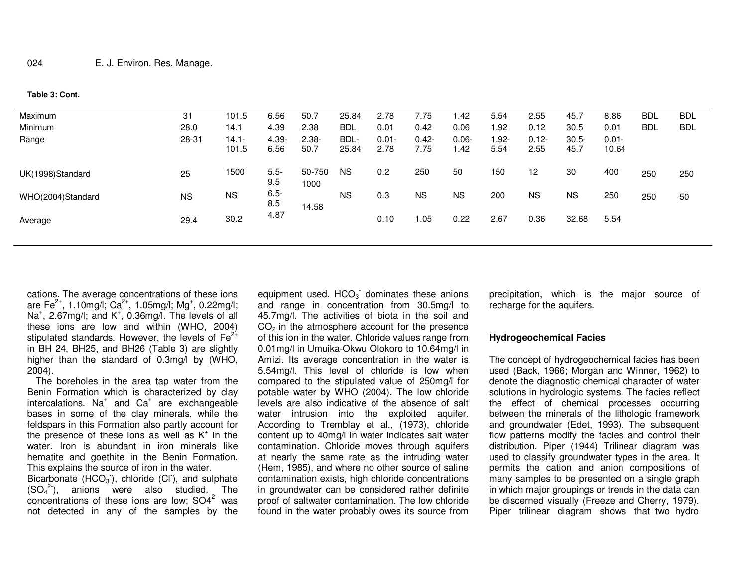**Table 3: Cont.** 

| Maximum           | 31        | 101.5             | 6.56           | 50.7             | 25.84         | 2.78             | 7.75             | .42             | 5.54          | 2.55             | 45.7             | 8.86              | <b>BDL</b> | <b>BDL</b> |
|-------------------|-----------|-------------------|----------------|------------------|---------------|------------------|------------------|-----------------|---------------|------------------|------------------|-------------------|------------|------------|
| Minimum           | 28.0      | 14.1              | 4.39           | 2.38             | <b>BDL</b>    | 0.01             | 0.42             | 0.06            | 1.92          | 0.12             | 30.5             | 0.01              | <b>BDL</b> | <b>BDL</b> |
| Range             | 28-31     | $14.1 -$<br>101.5 | 4.39-<br>6.56  | $2.38 -$<br>50.7 | BDL-<br>25.84 | $0.01 -$<br>2.78 | $0.42 -$<br>7.75 | $0.06 -$<br>.42 | 1.92-<br>5.54 | $0.12 -$<br>2.55 | $30.5 -$<br>45.7 | $0.01 -$<br>10.64 |            |            |
| UK(1998)Standard  | 25        | 1500              | $5.5 -$<br>9.5 | 50-750<br>1000   | <b>NS</b>     | 0.2              | 250              | 50              | 150           | 12               | 30               | 400               | 250        | 250        |
| WHO(2004)Standard | <b>NS</b> | <b>NS</b>         | $6.5 -$<br>8.5 | 14.58            | <b>NS</b>     | 0.3              | <b>NS</b>        | <b>NS</b>       | 200           | <b>NS</b>        | <b>NS</b>        | 250               | 250        | 50         |
| Average           | 29.4      | 30.2              | 4.87           |                  |               | 0.10             | .05              | 0.22            | 2.67          | 0.36             | 32.68            | 5.54              |            |            |
|                   |           |                   |                |                  |               |                  |                  |                 |               |                  |                  |                   |            |            |

cations. The average concentrations of these ions are Fe<sup>2+</sup>, 1.10mg/l; Ca<sup>2+</sup>, 1.05mg/l; Mg<sup>+</sup>, 0.22mg/l; Na<sup>+</sup>, 2.67mg/l; and K<sup>+</sup>, 0.36mg/l. The levels of all these ions are low and within (WHO, 2004) stipulated standards. However, the levels of  $\textsf{Fe}^{2+}$ in BH 24, BH25, and BH26 (Table 3) are slightly higher than the standard of 0.3mg/l by (WHO, 2004).

 The boreholes in the area tap water from the Benin Formation which is characterized by clay intercalations. Na<sup>+</sup> and  $Ca^+$  are exchangeable bases in some of the clay minerals, while the feldspars in this Formation also partly account for the presence of these ions as well as  $K^+$  in the water. Iron is abundant in iron minerals like hematite and goethite in the Benin Formation. This explains the source of iron in the water.

Bicarbonate  $(HCO<sub>3</sub>)$ , chloride  $(Cl<sub>3</sub>)$ , and sulphate  $(SO_4^2)$ , anions were also studied. The concentrations of these ions are low;  $SO4<sup>2-</sup>$  was not detected in any of the samples by the equipment used.  $HCO<sub>3</sub>$  dominates these anions and range in concentration from 30.5mg/l to 45.7mg/l. The activities of biota in the soil and  $CO<sub>2</sub>$  in the atmosphere account for the presence of this ion in the water. Chloride values range from 0.01mg/l in Umuika-Okwu Olokoro to 10.64mg/l in Amizi. Its average concentration in the water is 5.54mg/l. This level of chloride is low when compared to the stipulated value of 250mg/l for potable water by WHO (2004). The low chloride levels are also indicative of the absence of salt water intrusion into the exploited aquifer. According to Tremblay et al., (1973), chloride content up to 40mg/l in water indicates salt water contamination. Chloride moves through aquifers at nearly the same rate as the intruding water (Hem, 1985), and where no other source of saline contamination exists, high chloride concentrations in groundwater can be considered rather definite proof of saltwater contamination. The low chloride found in the water probably owes its source from

precipitation, which is the major source of recharge for the aquifers.

### **Hydrogeochemical Facies**

The concept of hydrogeochemical facies has been used (Back, 1966; Morgan and Winner, 1962) to denote the diagnostic chemical character of water solutions in hydrologic systems. The facies reflect the effect of chemical processes occurring between the minerals of the lithologic framework and groundwater (Edet, 1993). The subsequent flow patterns modify the facies and control their distribution. Piper (1944) Trilinear diagram was used to classify groundwater types in the area. It permits the cation and anion compositions of many samples to be presented on a single graph in which major groupings or trends in the data can be discerned visually (Freeze and Cherry, 1979). Piper trilinear diagram shows that two hydro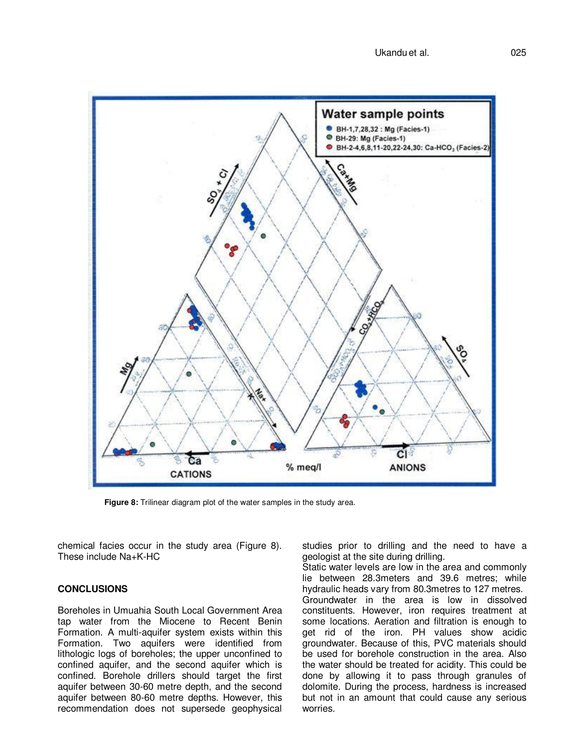

**Figure 8:** Trilinear diagram plot of the water samples in the study area.

chemical facies occur in the study area (Figure 8). These include Na+K-HC

## **CONCLUSIONS**

Boreholes in Umuahia South Local Government Area tap water from the Miocene to Recent Benin Formation. A multi-aquifer system exists within this Formation. Two aquifers were identified from lithologic logs of boreholes; the upper unconfined to confined aquifer, and the second aquifer which is confined. Borehole drillers should target the first aquifer between 30-60 metre depth, and the second aquifer between 80-60 metre depths. However, this recommendation does not supersede geophysical

studies prior to drilling and the need to have a geologist at the site during drilling.

Static water levels are low in the area and commonly lie between 28.3meters and 39.6 metres; while hydraulic heads vary from 80.3metres to 127 metres. Groundwater in the area is low in dissolved constituents. However, iron requires treatment at some locations. Aeration and filtration is enough to get rid of the iron. PH values show acidic groundwater. Because of this, PVC materials should be used for borehole construction in the area. Also the water should be treated for acidity. This could be done by allowing it to pass through granules of dolomite. During the process, hardness is increased but not in an amount that could cause any serious worries.